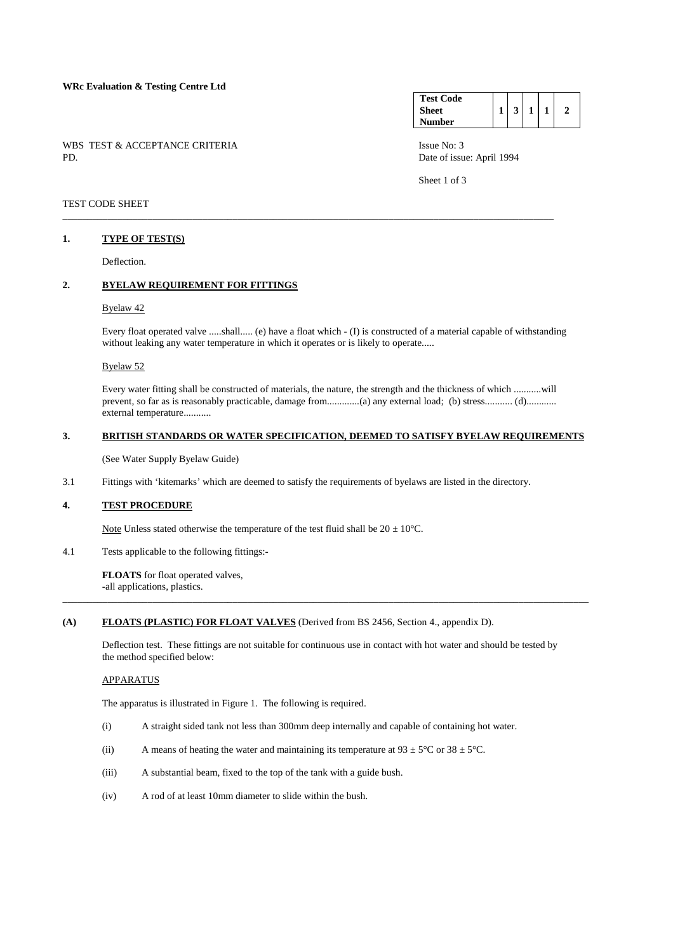## **WRc Evaluation & Testing Centre Ltd**

WBS TEST & ACCEPTANCE CRITERIA ISSUE No: 3<br>PD Date of issue

#### **Test Code Sheet Number**   $1 \mid 3 \mid 1 \mid 1 \mid 2$

Date of issue: April 1994

Sheet 1 of 3

## TEST CODE SHEET

### **1. TYPE OF TEST(S)**

Deflection.

## **2. BYELAW REQUIREMENT FOR FITTINGS**

## Byelaw 42

 Every float operated valve .....shall..... (e) have a float which - (I) is constructed of a material capable of withstanding without leaking any water temperature in which it operates or is likely to operate.....

\_\_\_\_\_\_\_\_\_\_\_\_\_\_\_\_\_\_\_\_\_\_\_\_\_\_\_\_\_\_\_\_\_\_\_\_\_\_\_\_\_\_\_\_\_\_\_\_\_\_\_\_\_\_\_\_\_\_\_\_\_\_\_\_\_\_\_\_\_\_\_\_\_\_\_\_\_\_\_\_\_\_\_\_\_\_\_\_\_\_\_\_\_\_\_\_\_\_

### Byelaw 52

 Every water fitting shall be constructed of materials, the nature, the strength and the thickness of which ...........will prevent, so far as is reasonably practicable, damage from................(a) any external load; (b) stress............ (d)............ external temperature...........

# **3. BRITISH STANDARDS OR WATER SPECIFICATION, DEEMED TO SATISFY BYELAW REQUIREMENTS**

(See Water Supply Byelaw Guide)

3.1 Fittings with 'kitemarks' which are deemed to satisfy the requirements of byelaws are listed in the directory.

## **4. TEST PROCEDURE**

Note Unless stated otherwise the temperature of the test fluid shall be  $20 \pm 10^{\circ}$ C.

4.1 Tests applicable to the following fittings:-

**FLOATS** for float operated valves, -all applications, plastics.

### **(A) FLOATS (PLASTIC) FOR FLOAT VALVES** (Derived from BS 2456, Section 4., appendix D).

 Deflection test. These fittings are not suitable for continuous use in contact with hot water and should be tested by the method specified below:

\_\_\_\_\_\_\_\_\_\_\_\_\_\_\_\_\_\_\_\_\_\_\_\_\_\_\_\_\_\_\_\_\_\_\_\_\_\_\_\_\_\_\_\_\_\_\_\_\_\_\_\_\_\_\_\_\_\_\_\_\_\_\_\_\_\_\_\_\_\_\_\_\_\_\_\_\_\_\_\_\_\_\_\_\_\_\_\_\_\_\_\_\_\_\_\_\_\_\_\_\_\_\_\_\_

### APPARATUS

The apparatus is illustrated in Figure 1. The following is required.

- (i) A straight sided tank not less than 300mm deep internally and capable of containing hot water.
- (ii) A means of heating the water and maintaining its temperature at  $93 \pm 5^{\circ}$ C or  $38 \pm 5^{\circ}$ C.
- (iii) A substantial beam, fixed to the top of the tank with a guide bush.
- (iv) A rod of at least 10mm diameter to slide within the bush.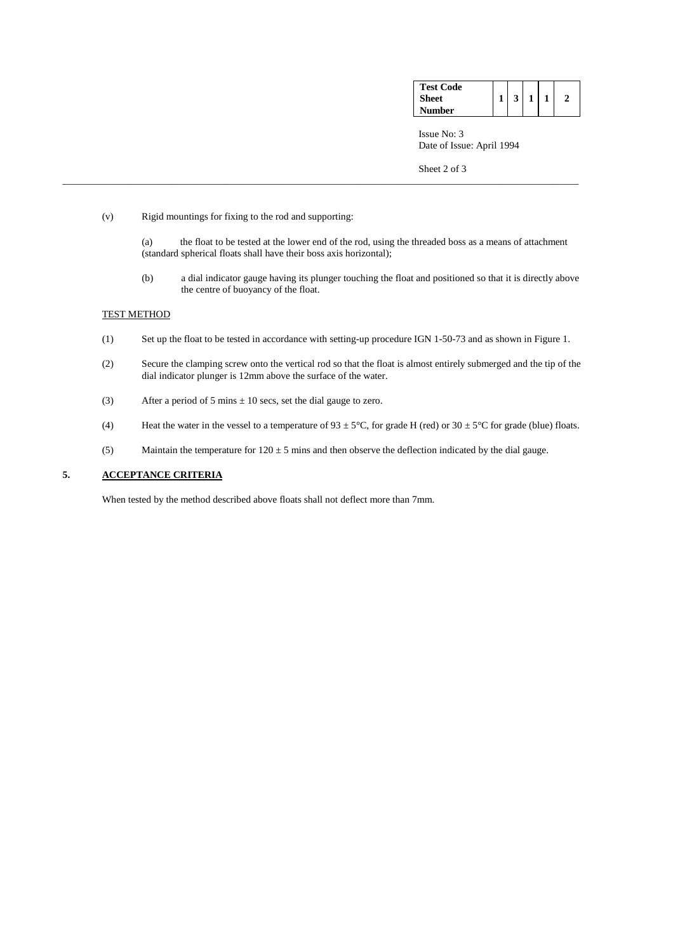| <b>Test Code</b> |  |  |  |
|------------------|--|--|--|
| <b>Sheet</b>     |  |  |  |
| <b>Number</b>    |  |  |  |

 Issue No: 3 Date of Issue: April 1994

Sheet 2 of 3

- (v) Rigid mountings for fixing to the rod and supporting:
	- (a) the float to be tested at the lower end of the rod, using the threaded boss as a means of attachment (standard spherical floats shall have their boss axis horizontal);

\_\_\_\_\_\_\_\_\_\_\_\_\_\_\_\_\_\_\_\_\_\_\_\_\_\_\_\_\_\_\_\_\_\_\_\_\_\_\_\_\_\_\_\_\_\_\_\_\_\_\_\_\_\_\_\_\_\_\_\_\_\_\_\_\_\_\_\_\_\_\_\_\_\_\_\_\_\_\_\_\_\_\_\_\_\_\_\_\_\_\_\_\_\_\_\_\_\_\_\_\_\_\_

 (b) a dial indicator gauge having its plunger touching the float and positioned so that it is directly above the centre of buoyancy of the float.

## TEST METHOD

- (1) Set up the float to be tested in accordance with setting-up procedure IGN 1-50-73 and as shown in Figure 1.
- (2) Secure the clamping screw onto the vertical rod so that the float is almost entirely submerged and the tip of the dial indicator plunger is 12mm above the surface of the water.
- (3) After a period of 5 mins  $\pm$  10 secs, set the dial gauge to zero.
- (4) Heat the water in the vessel to a temperature of  $93 \pm 5^{\circ}$ C, for grade H (red) or  $30 \pm 5^{\circ}$ C for grade (blue) floats.
- (5) Maintain the temperature for  $120 \pm 5$  mins and then observe the deflection indicated by the dial gauge.

## **5. ACCEPTANCE CRITERIA**

When tested by the method described above floats shall not deflect more than 7mm.